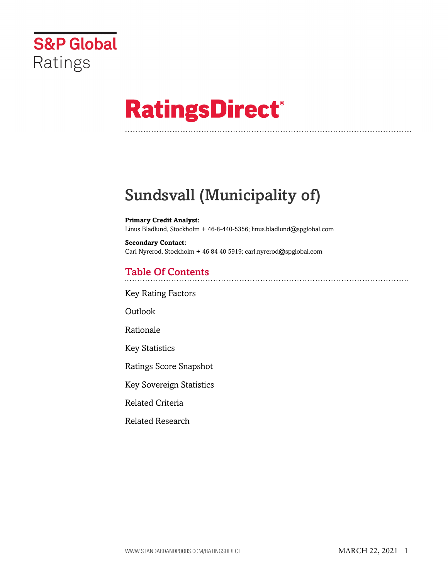

# **RatingsDirect®**

## Sundsvall (Municipality of)

**Primary Credit Analyst:** Linus Bladlund, Stockholm + 46-8-440-5356; linus.bladlund@spglobal.com

**Secondary Contact:** Carl Nyrerod, Stockholm + 46 84 40 5919; carl.nyrerod@spglobal.com

## Table Of Contents

[Key Rating Factors](#page-1-0)

[Outlook](#page-1-1)

[Rationale](#page-2-0)

[Key Statistics](#page-4-0)

[Ratings Score Snapshot](#page-4-1)

[Key Sovereign Statistics](#page-5-0)

[Related Criteria](#page-5-1)

[Related Research](#page-5-2)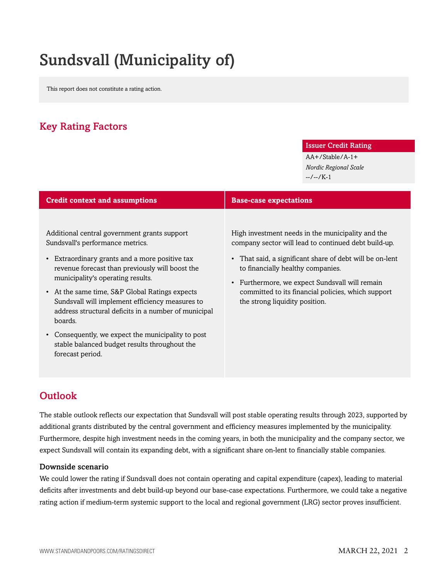## Sundsvall (Municipality of)

This report does not constitute a rating action.

## <span id="page-1-0"></span>Key Rating Factors

#### Issuer Credit Rating

AA+/Stable/A-1+ *Nordic Regional Scale* --/--/K-1

| <b>Credit context and assumptions</b>                                                                                                                                                                                                                                                                                                                                                                         | <b>Base-case expectations</b>                                                                                                                                                                                                                                                                                                                        |  |
|---------------------------------------------------------------------------------------------------------------------------------------------------------------------------------------------------------------------------------------------------------------------------------------------------------------------------------------------------------------------------------------------------------------|------------------------------------------------------------------------------------------------------------------------------------------------------------------------------------------------------------------------------------------------------------------------------------------------------------------------------------------------------|--|
| Additional central government grants support<br>Sundsvall's performance metrics.<br>Extraordinary grants and a more positive tax<br>$\bullet$<br>revenue forecast than previously will boost the<br>municipality's operating results.<br>• At the same time, S&P Global Ratings expects<br>Sundsvall will implement efficiency measures to<br>address structural deficits in a number of municipal<br>boards. | High investment needs in the municipality and the<br>company sector will lead to continued debt build-up.<br>• That said, a significant share of debt will be on-lent<br>to financially healthy companies.<br>• Furthermore, we expect Sundsvall will remain<br>committed to its financial policies, which support<br>the strong liquidity position. |  |
| Consequently, we expect the municipality to post<br>$\bullet$<br>stable balanced budget results throughout the<br>forecast period.                                                                                                                                                                                                                                                                            |                                                                                                                                                                                                                                                                                                                                                      |  |

## <span id="page-1-1"></span>Outlook

The stable outlook reflects our expectation that Sundsvall will post stable operating results through 2023, supported by additional grants distributed by the central government and efficiency measures implemented by the municipality. Furthermore, despite high investment needs in the coming years, in both the municipality and the company sector, we expect Sundsvall will contain its expanding debt, with a significant share on-lent to financially stable companies.

#### Downside scenario

We could lower the rating if Sundsvall does not contain operating and capital expenditure (capex), leading to material deficits after investments and debt build-up beyond our base-case expectations. Furthermore, we could take a negative rating action if medium-term systemic support to the local and regional government (LRG) sector proves insufficient.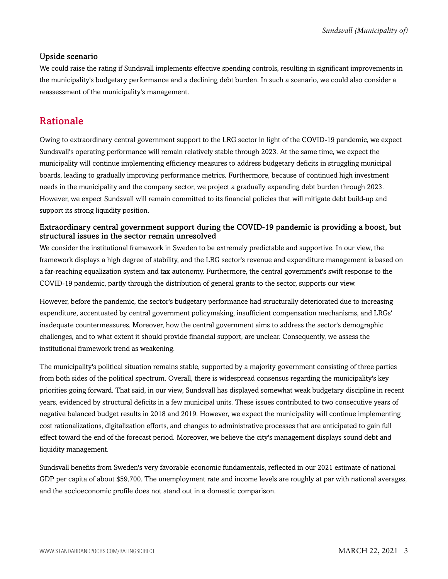#### Upside scenario

We could raise the rating if Sundsvall implements effective spending controls, resulting in significant improvements in the municipality's budgetary performance and a declining debt burden. In such a scenario, we could also consider a reassessment of the municipality's management.

## <span id="page-2-0"></span>Rationale

Owing to extraordinary central government support to the LRG sector in light of the COVID-19 pandemic, we expect Sundsvall's operating performance will remain relatively stable through 2023. At the same time, we expect the municipality will continue implementing efficiency measures to address budgetary deficits in struggling municipal boards, leading to gradually improving performance metrics. Furthermore, because of continued high investment needs in the municipality and the company sector, we project a gradually expanding debt burden through 2023. However, we expect Sundsvall will remain committed to its financial policies that will mitigate debt build-up and support its strong liquidity position.

#### Extraordinary central government support during the COVID-19 pandemic is providing a boost, but structural issues in the sector remain unresolved

We consider the institutional framework in Sweden to be extremely predictable and supportive. In our view, the framework displays a high degree of stability, and the LRG sector's revenue and expenditure management is based on a far-reaching equalization system and tax autonomy. Furthermore, the central government's swift response to the COVID-19 pandemic, partly through the distribution of general grants to the sector, supports our view.

However, before the pandemic, the sector's budgetary performance had structurally deteriorated due to increasing expenditure, accentuated by central government policymaking, insufficient compensation mechanisms, and LRGs' inadequate countermeasures. Moreover, how the central government aims to address the sector's demographic challenges, and to what extent it should provide financial support, are unclear. Consequently, we assess the institutional framework trend as weakening.

The municipality's political situation remains stable, supported by a majority government consisting of three parties from both sides of the political spectrum. Overall, there is widespread consensus regarding the municipality's key priorities going forward. That said, in our view, Sundsvall has displayed somewhat weak budgetary discipline in recent years, evidenced by structural deficits in a few municipal units. These issues contributed to two consecutive years of negative balanced budget results in 2018 and 2019. However, we expect the municipality will continue implementing cost rationalizations, digitalization efforts, and changes to administrative processes that are anticipated to gain full effect toward the end of the forecast period. Moreover, we believe the city's management displays sound debt and liquidity management.

Sundsvall benefits from Sweden's very favorable economic fundamentals, reflected in our 2021 estimate of national GDP per capita of about \$59,700. The unemployment rate and income levels are roughly at par with national averages, and the socioeconomic profile does not stand out in a domestic comparison.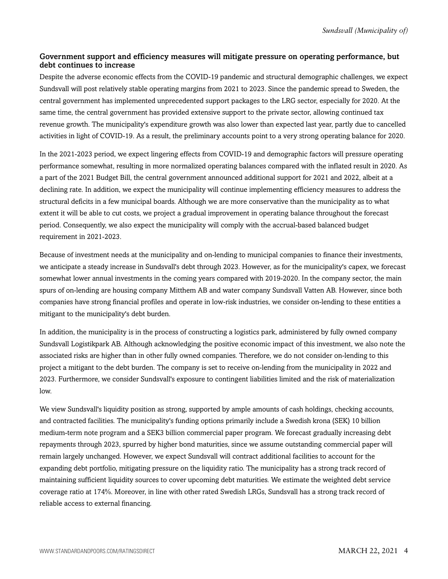#### Government support and efficiency measures will mitigate pressure on operating performance, but debt continues to increase

Despite the adverse economic effects from the COVID-19 pandemic and structural demographic challenges, we expect Sundsvall will post relatively stable operating margins from 2021 to 2023. Since the pandemic spread to Sweden, the central government has implemented unprecedented support packages to the LRG sector, especially for 2020. At the same time, the central government has provided extensive support to the private sector, allowing continued tax revenue growth. The municipality's expenditure growth was also lower than expected last year, partly due to cancelled activities in light of COVID-19. As a result, the preliminary accounts point to a very strong operating balance for 2020.

In the 2021-2023 period, we expect lingering effects from COVID-19 and demographic factors will pressure operating performance somewhat, resulting in more normalized operating balances compared with the inflated result in 2020. As a part of the 2021 Budget Bill, the central government announced additional support for 2021 and 2022, albeit at a declining rate. In addition, we expect the municipality will continue implementing efficiency measures to address the structural deficits in a few municipal boards. Although we are more conservative than the municipality as to what extent it will be able to cut costs, we project a gradual improvement in operating balance throughout the forecast period. Consequently, we also expect the municipality will comply with the accrual-based balanced budget requirement in 2021-2023.

Because of investment needs at the municipality and on-lending to municipal companies to finance their investments, we anticipate a steady increase in Sundsvall's debt through 2023. However, as for the municipality's capex, we forecast somewhat lower annual investments in the coming years compared with 2019-2020. In the company sector, the main spurs of on-lending are housing company Mitthem AB and water company Sundsvall Vatten AB. However, since both companies have strong financial profiles and operate in low-risk industries, we consider on-lending to these entities a mitigant to the municipality's debt burden.

In addition, the municipality is in the process of constructing a logistics park, administered by fully owned company Sundsvall Logistikpark AB. Although acknowledging the positive economic impact of this investment, we also note the associated risks are higher than in other fully owned companies. Therefore, we do not consider on-lending to this project a mitigant to the debt burden. The company is set to receive on-lending from the municipality in 2022 and 2023. Furthermore, we consider Sundsvall's exposure to contingent liabilities limited and the risk of materialization low.

We view Sundsvall's liquidity position as strong, supported by ample amounts of cash holdings, checking accounts, and contracted facilities. The municipality's funding options primarily include a Swedish krona (SEK) 10 billion medium-term note program and a SEK3 billion commercial paper program. We forecast gradually increasing debt repayments through 2023, spurred by higher bond maturities, since we assume outstanding commercial paper will remain largely unchanged. However, we expect Sundsvall will contract additional facilities to account for the expanding debt portfolio, mitigating pressure on the liquidity ratio. The municipality has a strong track record of maintaining sufficient liquidity sources to cover upcoming debt maturities. We estimate the weighted debt service coverage ratio at 174%. Moreover, in line with other rated Swedish LRGs, Sundsvall has a strong track record of reliable access to external financing.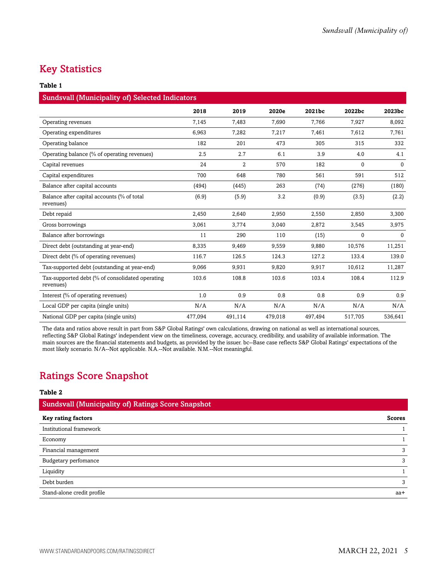## <span id="page-4-0"></span>Key Statistics

#### **Table 1**

| <b>Sundsvall (Municipality of) Selected Indicators</b>       |         |                |         |         |          |              |
|--------------------------------------------------------------|---------|----------------|---------|---------|----------|--------------|
|                                                              | 2018    | 2019           | 2020e   | 2021bc  | 2022bc   | 2023bc       |
| Operating revenues                                           | 7,145   | 7,483          | 7,690   | 7,766   | 7,927    | 8,092        |
| Operating expenditures                                       | 6,963   | 7,282          | 7,217   | 7,461   | 7,612    | 7,761        |
| Operating balance                                            | 182     | 201            | 473     | 305     | 315      | 332          |
| Operating balance (% of operating revenues)                  | 2.5     | 2.7            | 6.1     | 3.9     | 4.0      | 4.1          |
| Capital revenues                                             | 24      | $\overline{2}$ | 570     | 182     | $\Omega$ | $\mathbf{0}$ |
| Capital expenditures                                         | 700     | 648            | 780     | 561     | 591      | 512          |
| Balance after capital accounts                               | (494)   | (445)          | 263     | (74)    | (276)    | (180)        |
| Balance after capital accounts (% of total<br>revenues)      | (6.9)   | (5.9)          | 3.2     | (0.9)   | (3.5)    | (2.2)        |
| Debt repaid                                                  | 2,450   | 2,640          | 2,950   | 2,550   | 2,850    | 3,300        |
| Gross borrowings                                             | 3,061   | 3,774          | 3,040   | 2,872   | 3,545    | 3,975        |
| Balance after borrowings                                     | 11      | 290            | 110     | (15)    | $\Omega$ | $\Omega$     |
| Direct debt (outstanding at year-end)                        | 8,335   | 9,469          | 9,559   | 9,880   | 10,576   | 11,251       |
| Direct debt (% of operating revenues)                        | 116.7   | 126.5          | 124.3   | 127.2   | 133.4    | 139.0        |
| Tax-supported debt (outstanding at year-end)                 | 9,066   | 9,931          | 9,820   | 9,917   | 10,612   | 11,287       |
| Tax-supported debt (% of consolidated operating<br>revenues) | 103.6   | 108.8          | 103.6   | 103.4   | 108.4    | 112.9        |
| Interest (% of operating revenues)                           | 1.0     | 0.9            | 0.8     | 0.8     | 0.9      | 0.9          |
| Local GDP per capita (single units)                          | N/A     | N/A            | N/A     | N/A     | N/A      | N/A          |
| National GDP per capita (single units)                       | 477,094 | 491,114        | 479,018 | 497,494 | 517,705  | 536,641      |

The data and ratios above result in part from S&P Global Ratings' own calculations, drawing on national as well as international sources, reflecting S&P Global Ratings' independent view on the timeliness, coverage, accuracy, credibility, and usability of available information. The main sources are the financial statements and budgets, as provided by the issuer. bc--Base case reflects S&P Global Ratings' expectations of the most likely scenario. N/A--Not applicable. N.A.--Not available. N.M.--Not meaningful.

## <span id="page-4-1"></span>Ratings Score Snapshot

#### **Table 2**

| <b>Sundsvall (Municipality of) Ratings Score Snapshot</b> |               |  |
|-----------------------------------------------------------|---------------|--|
| <b>Key rating factors</b>                                 | <b>Scores</b> |  |
| Institutional framework                                   |               |  |
| Economy                                                   |               |  |
| Financial management                                      | 3             |  |
| Budgetary perfomance                                      | 3             |  |
| Liquidity                                                 |               |  |
| Debt burden                                               | 3             |  |
| Stand-alone credit profile                                | aa+           |  |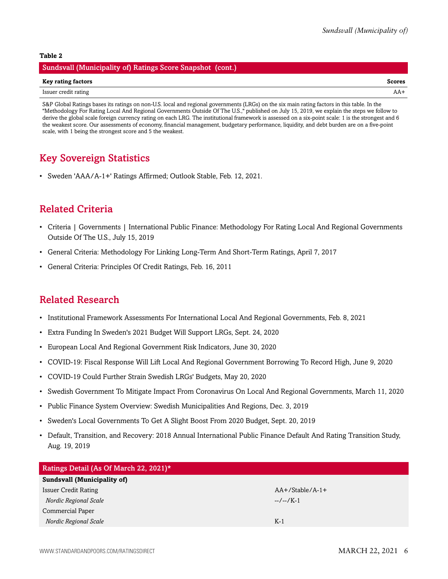#### **Table 2**

| Sundsvall (Municipality of) Ratings Score Snapshot (cont.) |        |  |  |
|------------------------------------------------------------|--------|--|--|
| Key rating factors                                         | Scores |  |  |
| Issuer credit rating                                       | AA+    |  |  |

S&P Global Ratings bases its ratings on non-U.S. local and regional governments (LRGs) on the six main rating factors in this table. In the "Methodology For Rating Local And Regional Governments Outside Of The U.S.," published on July 15, 2019, we explain the steps we follow to derive the global scale foreign currency rating on each LRG. The institutional framework is assessed on a six-point scale: 1 is the strongest and 6 the weakest score. Our assessments of economy, financial management, budgetary performance, liquidity, and debt burden are on a five-point scale, with 1 being the strongest score and 5 the weakest.

## <span id="page-5-0"></span>Key Sovereign Statistics

• Sweden 'AAA/A-1+' Ratings Affirmed; Outlook Stable, Feb. 12, 2021.

### <span id="page-5-1"></span>Related Criteria

- Criteria | Governments | International Public Finance: Methodology For Rating Local And Regional Governments Outside Of The U.S., July 15, 2019
- General Criteria: Methodology For Linking Long-Term And Short-Term Ratings, April 7, 2017
- General Criteria: Principles Of Credit Ratings, Feb. 16, 2011

### <span id="page-5-2"></span>Related Research

- Institutional Framework Assessments For International Local And Regional Governments, Feb. 8, 2021
- Extra Funding In Sweden's 2021 Budget Will Support LRGs, Sept. 24, 2020
- European Local And Regional Government Risk Indicators, June 30, 2020
- COVID-19: Fiscal Response Will Lift Local And Regional Government Borrowing To Record High, June 9, 2020
- COVID-19 Could Further Strain Swedish LRGs' Budgets, May 20, 2020
- Swedish Government To Mitigate Impact From Coronavirus On Local And Regional Governments, March 11, 2020
- Public Finance System Overview: Swedish Municipalities And Regions, Dec. 3, 2019
- Sweden's Local Governments To Get A Slight Boost From 2020 Budget, Sept. 20, 2019
- Default, Transition, and Recovery: 2018 Annual International Public Finance Default And Rating Transition Study, Aug. 19, 2019

| Ratings Detail (As Of March 22, 2021)*           |           |  |  |  |
|--------------------------------------------------|-----------|--|--|--|
| Sundsvall (Municipality of)                      |           |  |  |  |
| <b>Issuer Credit Rating</b><br>$AA+/Stable/A-1+$ |           |  |  |  |
| Nordic Regional Scale                            | $-/-/K-1$ |  |  |  |
| Commercial Paper                                 |           |  |  |  |
| Nordic Regional Scale<br>$K-1$                   |           |  |  |  |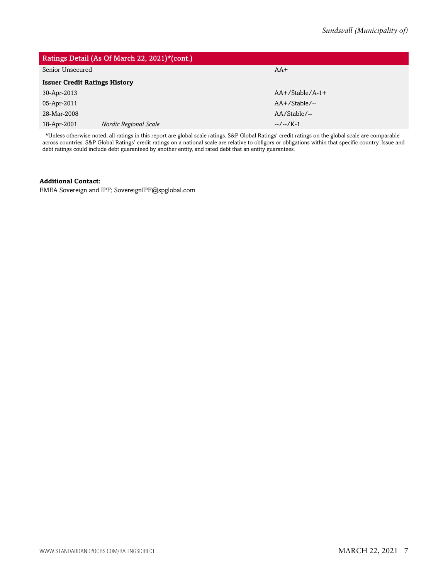| Ratings Detail (As Of March 22, 2021)*(cont.) |                       |                   |  |  |
|-----------------------------------------------|-----------------------|-------------------|--|--|
| Senior Unsecured                              |                       | $AA+$             |  |  |
| <b>Issuer Credit Ratings History</b>          |                       |                   |  |  |
| 30-Apr-2013                                   |                       | $AA+/Stable/A-1+$ |  |  |
| 05-Apr-2011                                   |                       | AA+/Stable/--     |  |  |
| 28-Mar-2008                                   |                       | AA/Stable/--      |  |  |
| 18-Apr-2001                                   | Nordic Regional Scale | $-/-/K-1$         |  |  |

\*Unless otherwise noted, all ratings in this report are global scale ratings. S&P Global Ratings' credit ratings on the global scale are comparable across countries. S&P Global Ratings' credit ratings on a national scale are relative to obligors or obligations within that specific country. Issue and debt ratings could include debt guaranteed by another entity, and rated debt that an entity guarantees.

#### **Additional Contact:**

EMEA Sovereign and IPF; SovereignIPF@spglobal.com